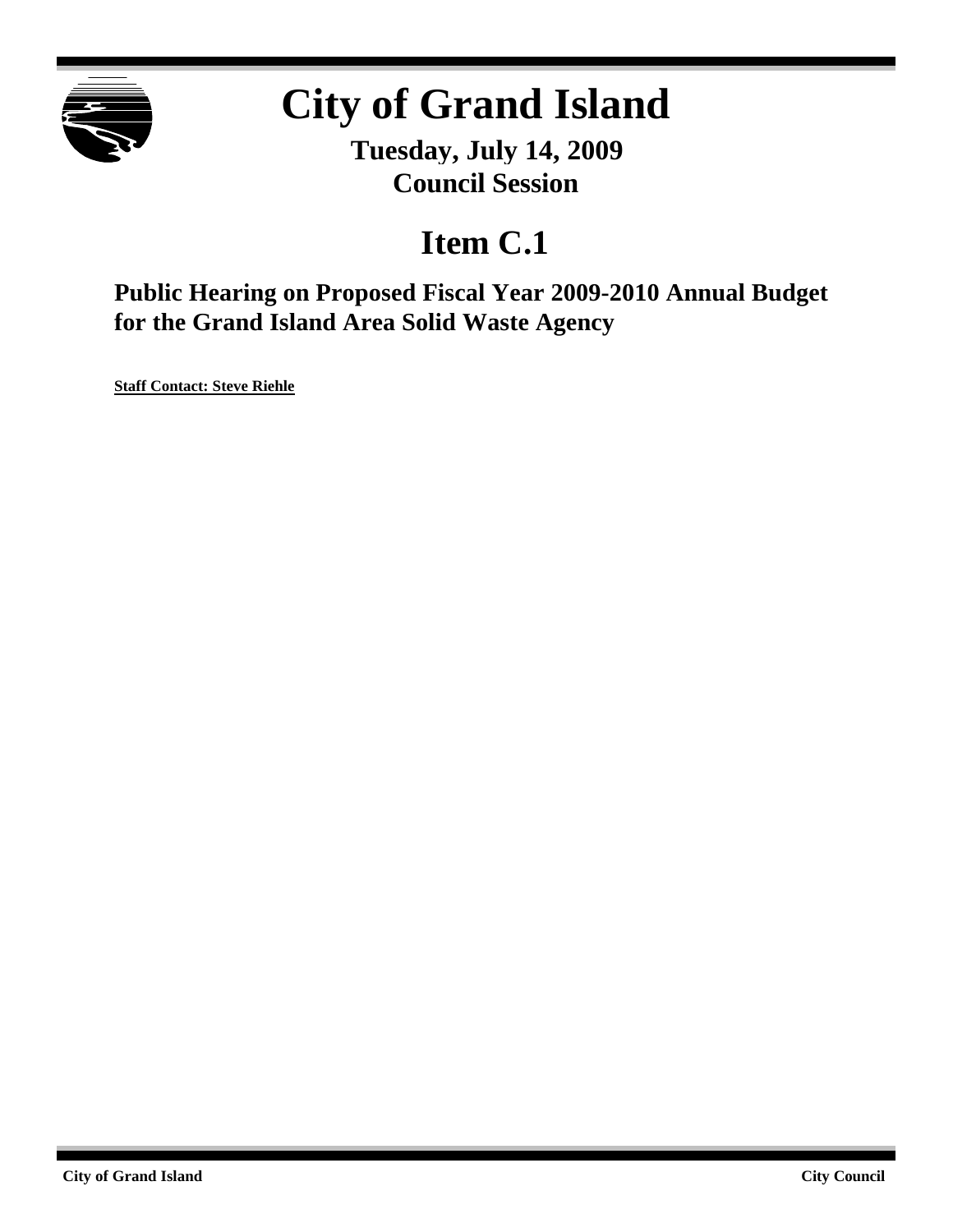

#### **City of Grand Island**

**Tuesday, July 14, 2009 Council Session**

#### **Item C.1**

**Public Hearing on Proposed Fiscal Year 2009-2010 Annual Budget for the Grand Island Area Solid Waste Agency**

**Staff Contact: Steve Riehle**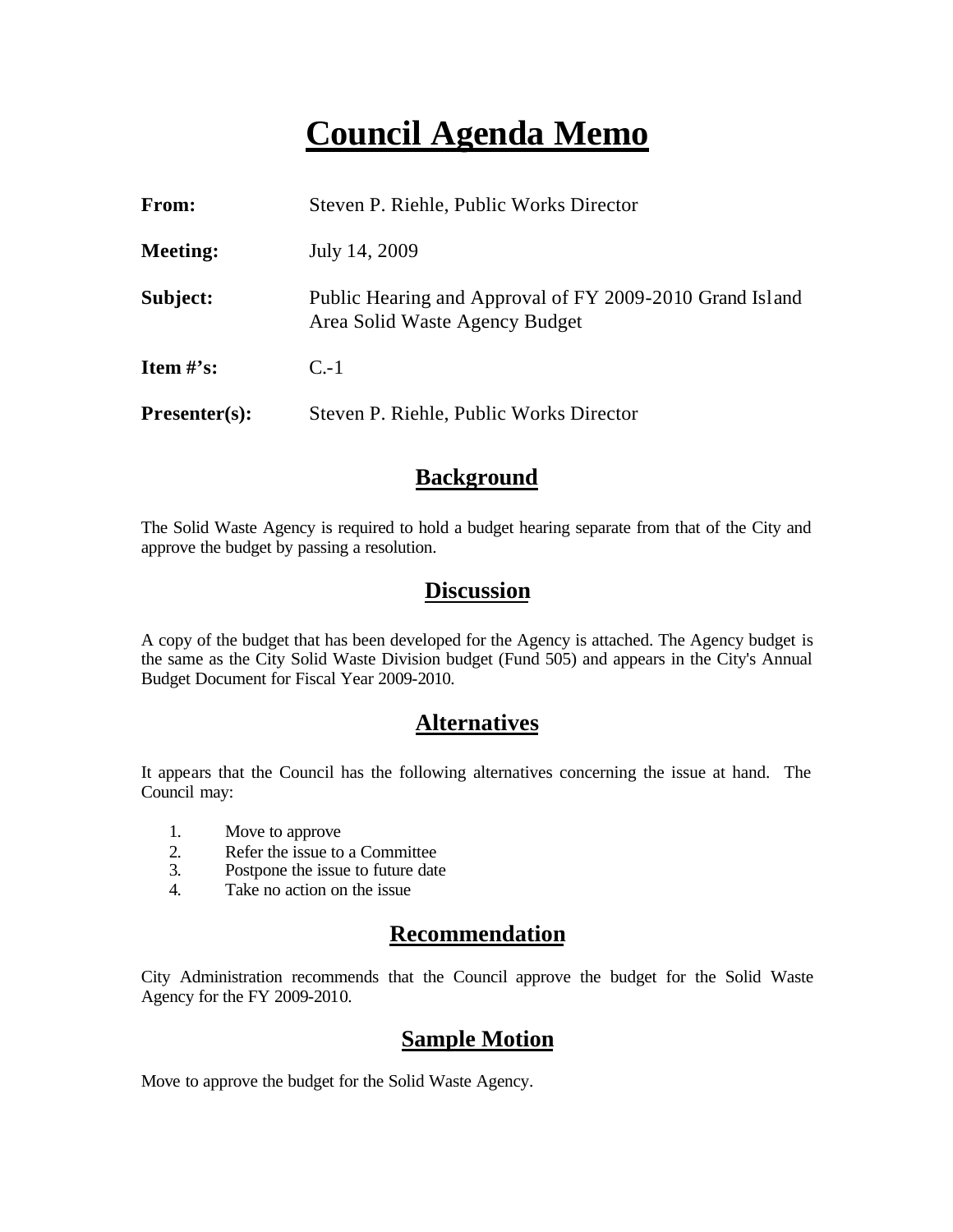#### **Council Agenda Memo**

| From:                          | Steven P. Riehle, Public Works Director                                                    |
|--------------------------------|--------------------------------------------------------------------------------------------|
| <b>Meeting:</b>                | July 14, 2009                                                                              |
| Subject:                       | Public Hearing and Approval of FY 2009-2010 Grand Island<br>Area Solid Waste Agency Budget |
| <b>Item <math>\#</math>'s:</b> | $C-1$                                                                                      |
| $Presenter(s):$                | Steven P. Riehle, Public Works Director                                                    |

#### **Background**

The Solid Waste Agency is required to hold a budget hearing separate from that of the City and approve the budget by passing a resolution.

#### **Discussion**

A copy of the budget that has been developed for the Agency is attached. The Agency budget is the same as the City Solid Waste Division budget (Fund 505) and appears in the City's Annual Budget Document for Fiscal Year 2009-2010.

#### **Alternatives**

It appears that the Council has the following alternatives concerning the issue at hand. The Council may:

- 1. Move to approve
- 2. Refer the issue to a Committee<br>3. Postpone the issue to future date
- Postpone the issue to future date
- 4. Take no action on the issue

#### **Recommendation**

City Administration recommends that the Council approve the budget for the Solid Waste Agency for the FY 2009-2010.

#### **Sample Motion**

Move to approve the budget for the Solid Waste Agency.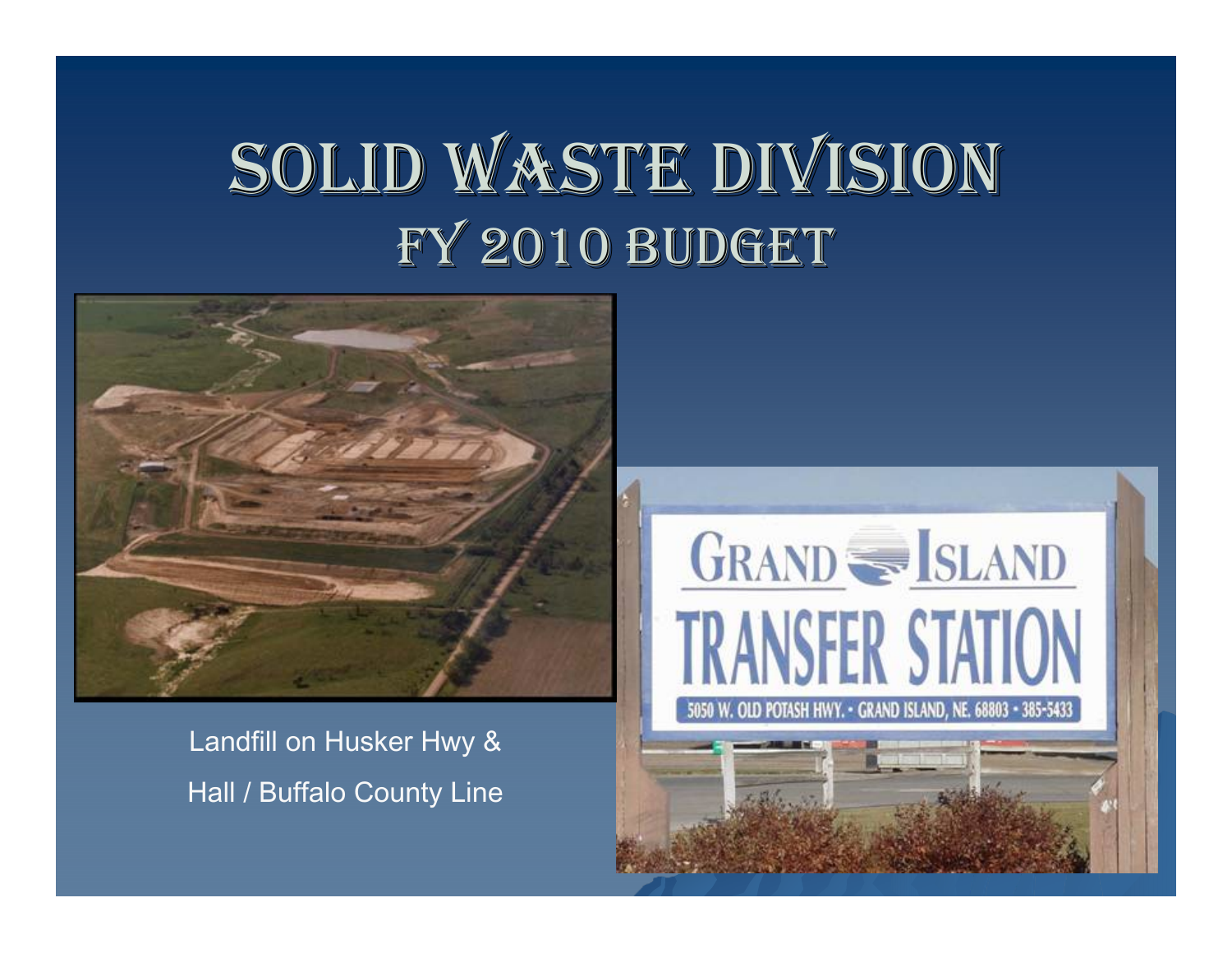# SOLID WASTE DIVISION FY 2010 BUDGET

GRAND SE SLAND

**TRANSFER STATION** 

W. OLD POTASH HWY. - GRAND ISLAND, NE. 68803 - 385-5433



Landfill on Husker Hwy & Hall / Buffalo County Line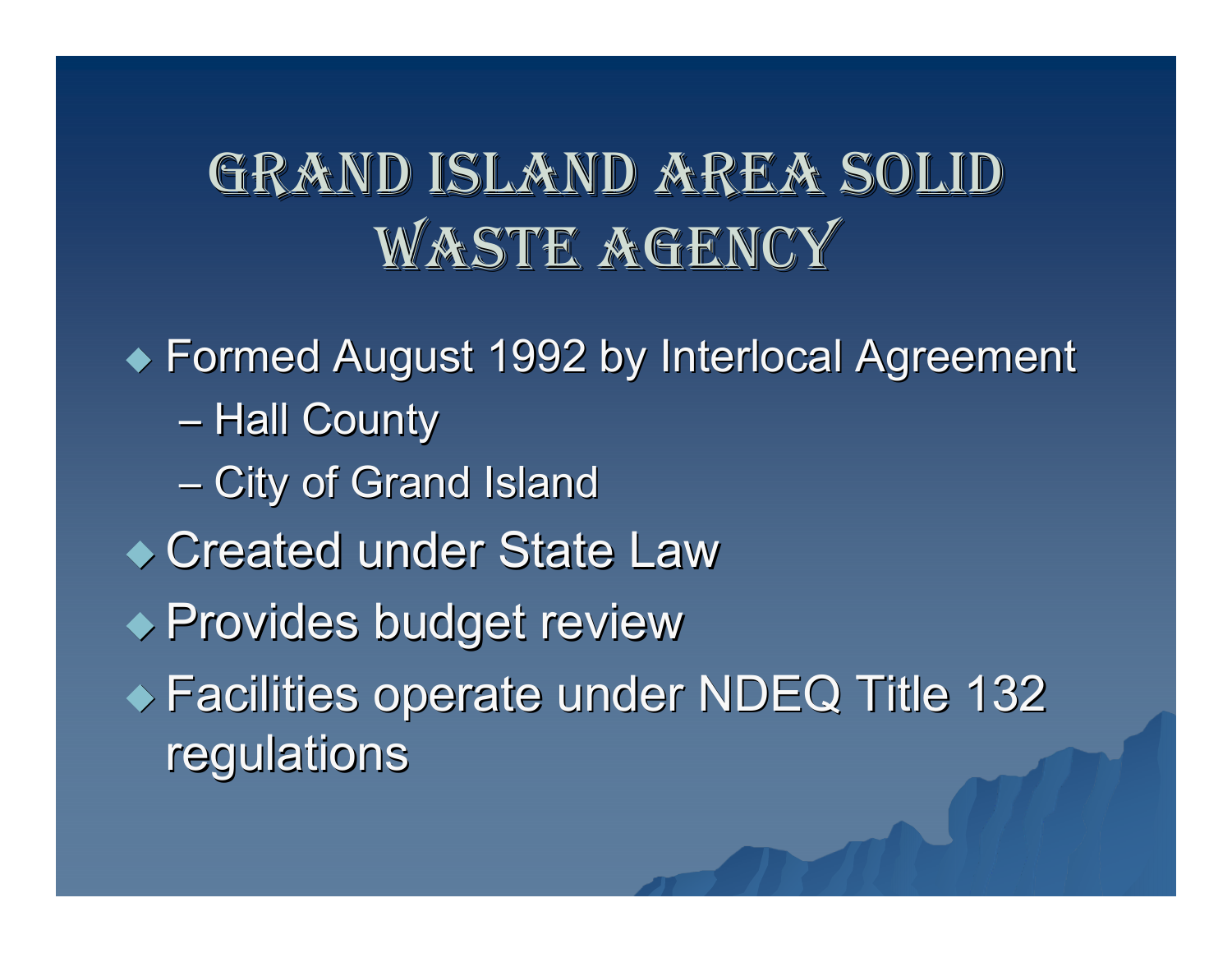# GRAND ISLAND AREA SOLID WASTE AGENCY

 $\blacklozenge$  Formed August 1992 by Interlocal Agreement –– Hall County –– City of Grand Island ◆ Created under State Law ◆ Provides budget review ◆ Facilities operate under NDEQ Title 132 regulations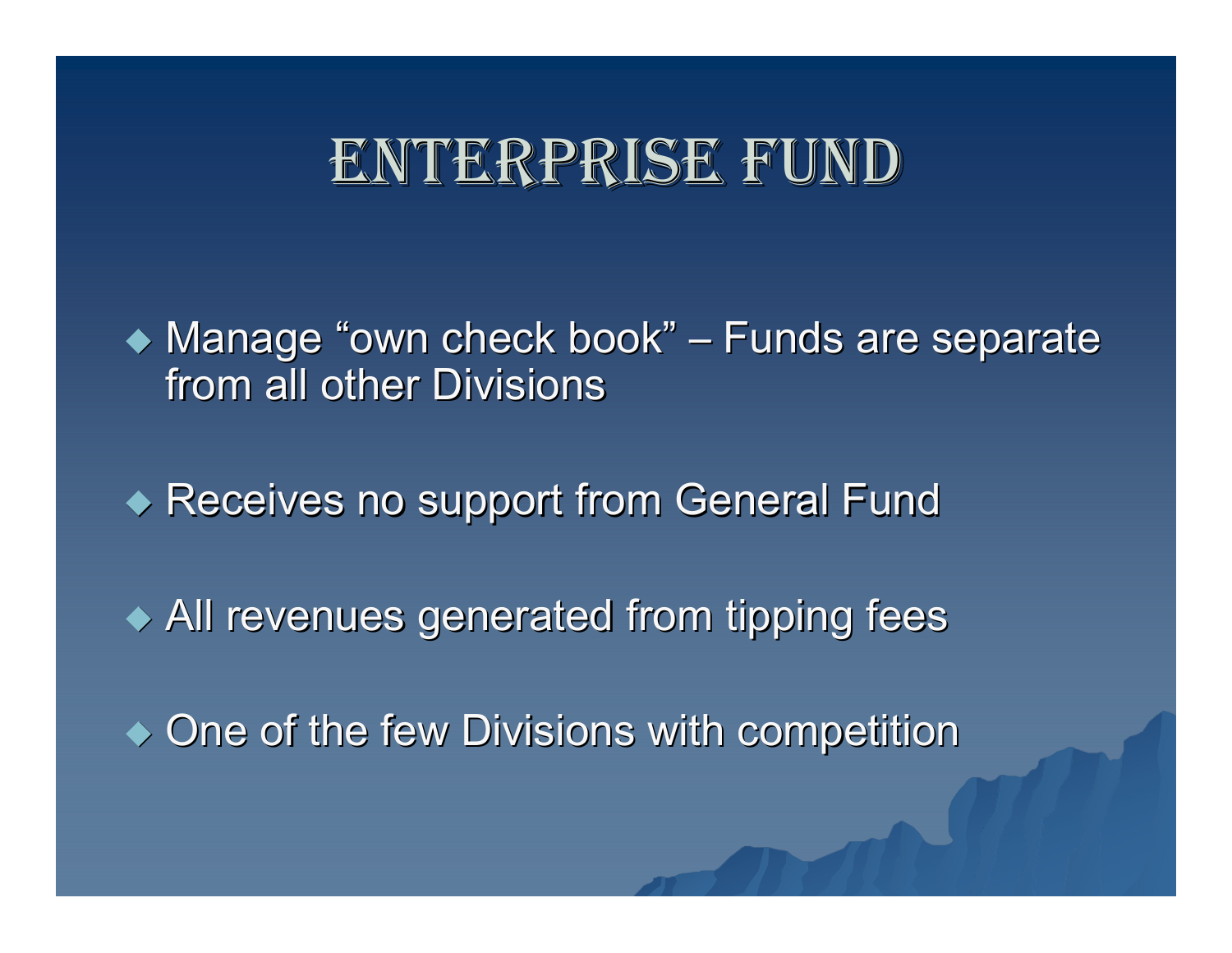### ENTERPRISE FUND

◆ Manage "own check book" – – Funds are separate from all other Divisions

 $\blacklozenge$  Receives no support from General Fund

 $\blacklozenge$  All revenues generated from tipping fees

 $\bullet$  One of the few Divisions with competition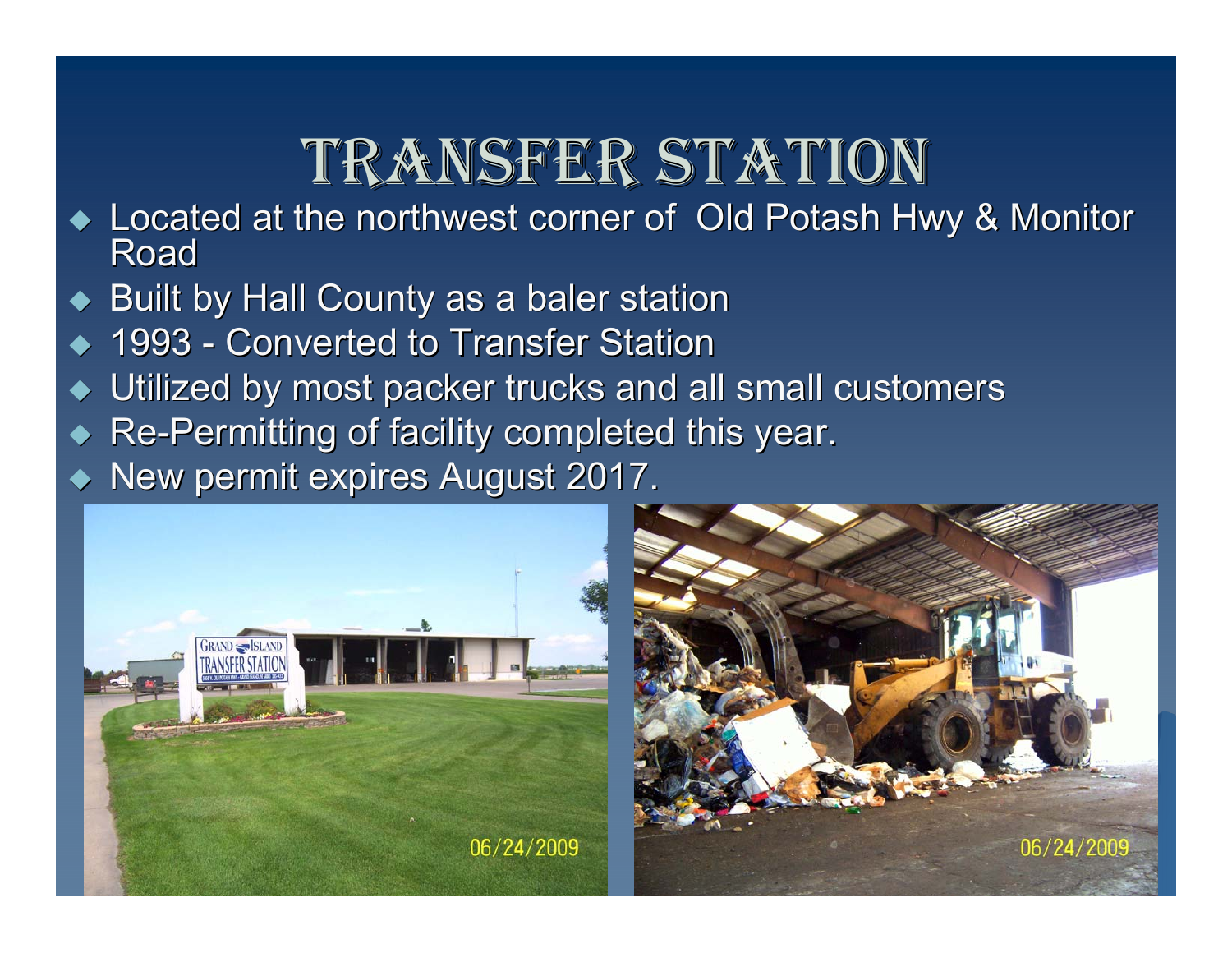## TRANSFER STATION

- ◆ Located at the northwest corner of Old Potash Hwy & Monitor<br>Road
- $\blacklozenge$  Built by Hall County as a baler station
- ◆ ◆ 1993 - Converted to Transfer Station
- ◆ Utilized by most packer trucks and all small customers
- ◆ Re-Permitting of facility completed this year.

◆ New permit expires August 2017.



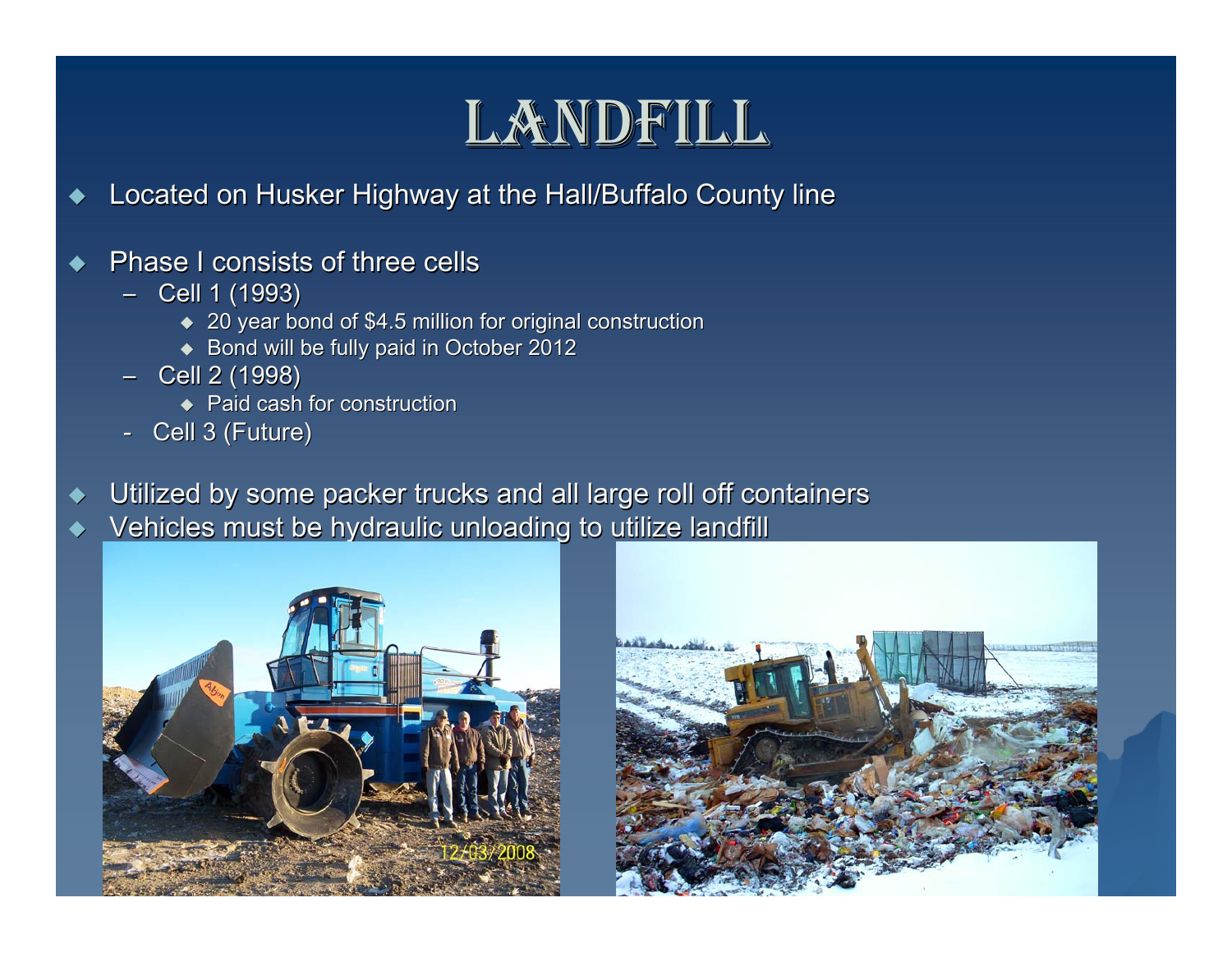### LANDFILL

- ◆ Located on Husker Highway at the Hall/Buffalo County line
- ◆ Phase I consists of three cells
	- Cell 1 (1993)
		- $\blacktriangleright$  20 year bond of \$4.5 million for original construction
		- $\blacklozenge$  Bond will be fully paid in October 2012
	- Cell 2 (1998)
		- $\blacklozenge$  Paid cash for construction
	- Cell 3 (Future)
- ♦ Utilized by some packer trucks and all large roll off containers
- ♦ Vehicles must be hydraulic unloading to utilize landfill



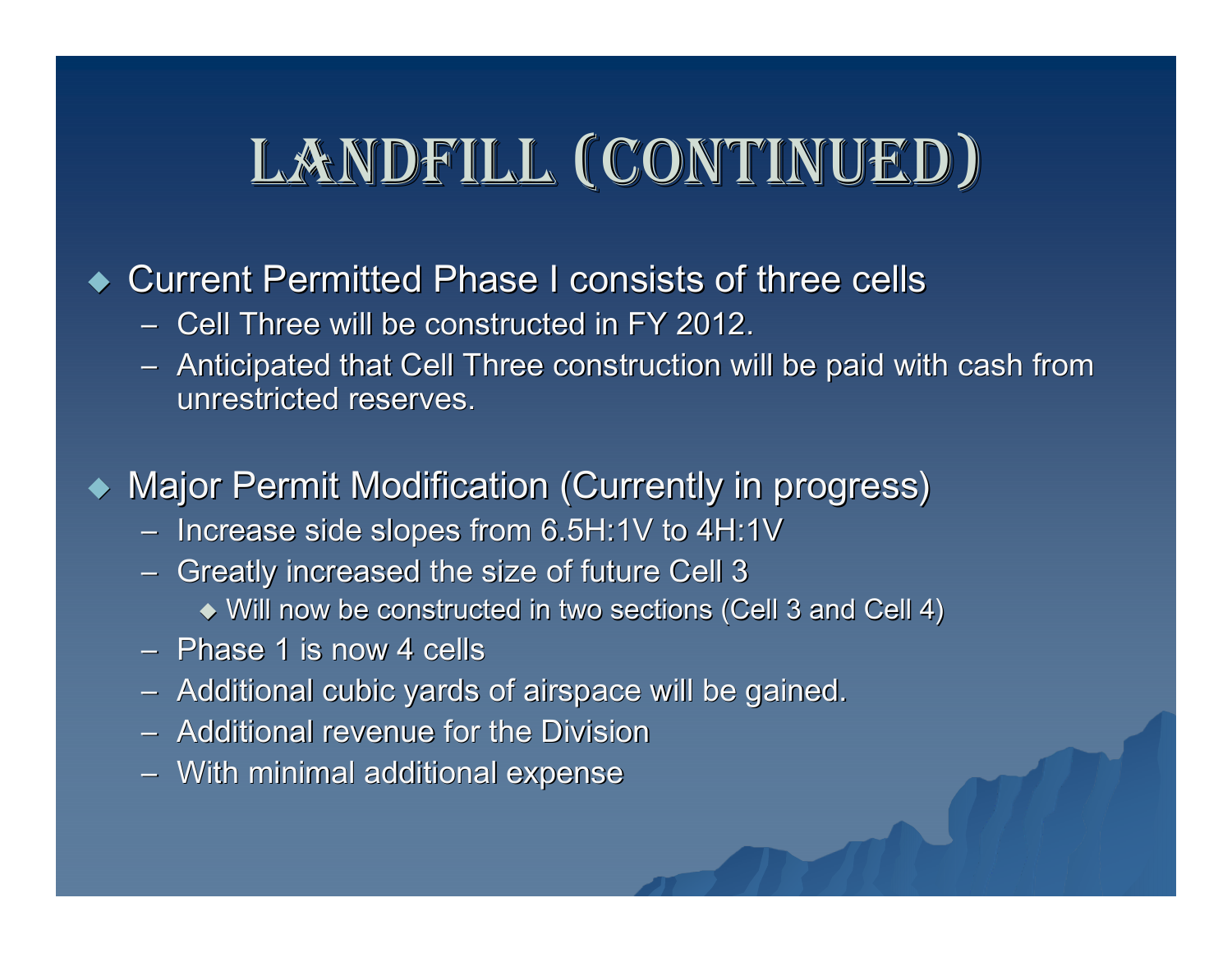# LANDFILL (CONTINUED)

#### ◆ Current Permitted Phase I consists of three cells

- Cell Three will be constructed in FY 2012.
- Anticipated that Cell Three construction will be paid with cash from unrestricted reserves.

◆ Major Permit Modification (Currently in progress)

- $-$  Increase side slopes from 6.5H:1V to 4H:1V  $\,$
- $-$  Greatly increased the size of future Cell 3  $\,$ 
	- $\blacklozenge$  Will now be constructed in two sections (Cell 3 and Cell 4)
- Phase 1 is now 4 cells
- Additional cubic yards of airspace will be gained.
- Additional revenue for the Division
- $-$  With minimal additional expense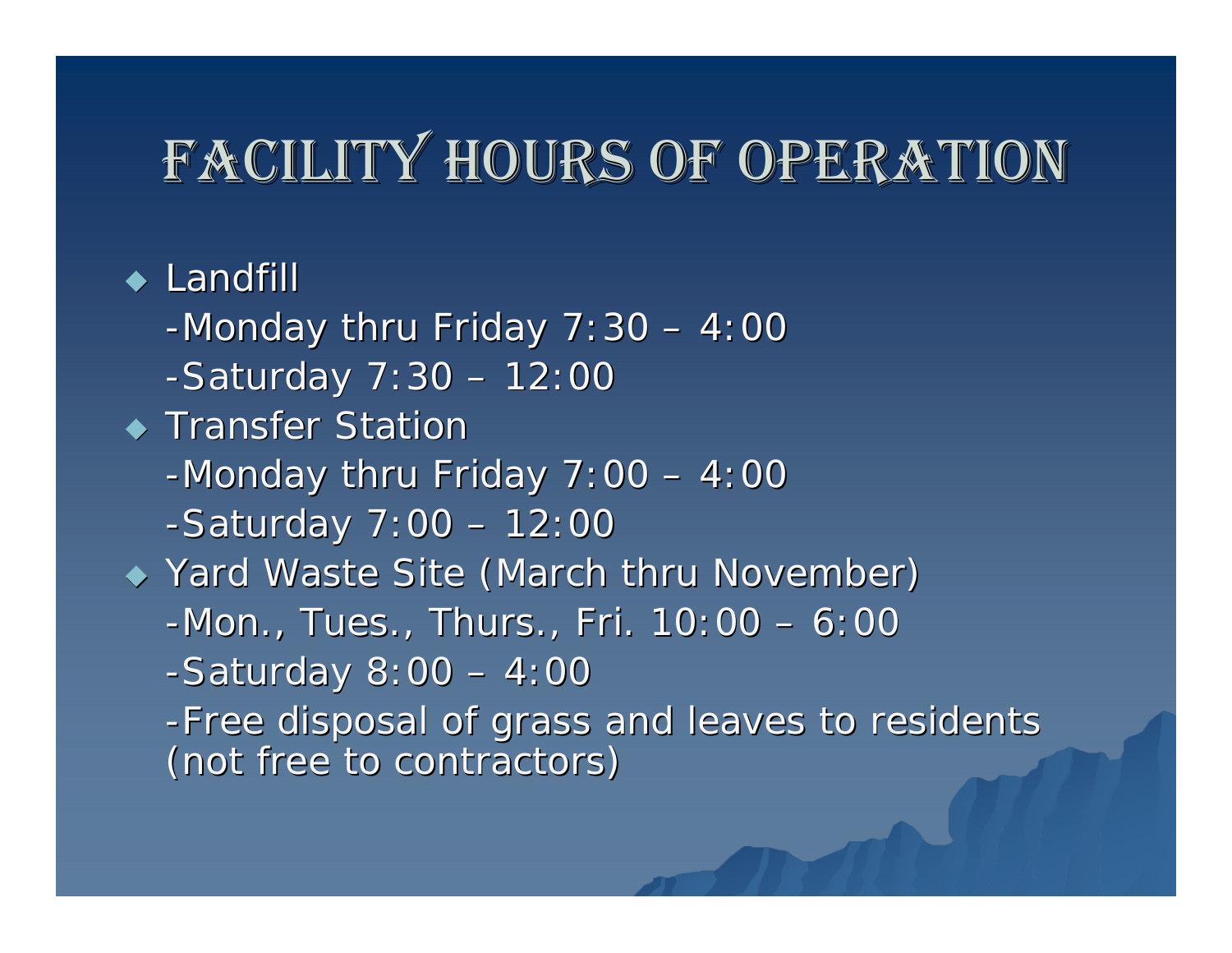# FACILITY HOURS OF OPERATION

 $\blacklozenge$  Landfill

-Monday thru Friday  $7:30 - 4:00$  $-Saturday$   $7:30 - 12:00$ 

 $\blacklozenge$  Transfer Station

-Monday thru Friday  $7:00 - 4:00$ 

 $-Saturday 7:00 - 12:00$ 

◆ Yard Waste Site (March thru November)

 $-Mon.$ , Tues., Thurs., Fri.  $10:00 - 6:00$ 

 $-Saturday 8:00 - 4:00$ 

-Free disposal of grass and leaves to residents (not free to contractors) (not free to contractors)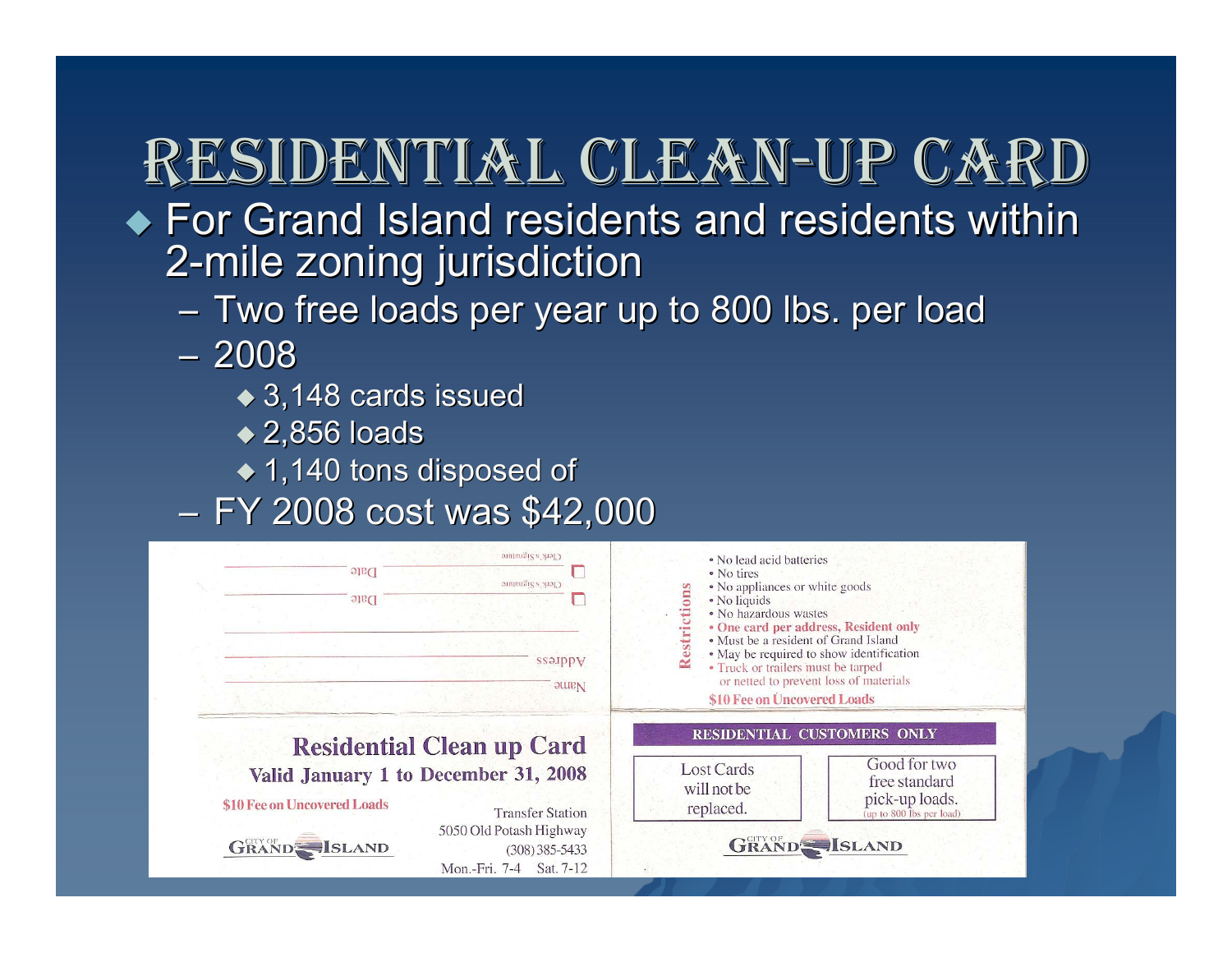## RESIDENTIAL CLEAN-UP CARD

- $\blacklozenge$  For Grand Island residents and residents within 2 -mile zoning jurisdiction mile zoning jurisdiction
	- Two free loads per year up to 800 lbs. per load
	- 2008
		- $\bullet$  3,148 cards issued
		- $\blacktriangleright$  2,856 loads
		- $\bullet$  1,140 tons disposed of
	- FY 2008 cost was \$42,000

| Clerk's Signature<br>Date<br>Clerk's Signature<br>Date                                                                                                        | • No lead acid batteries<br>• No tires<br>• No appliances or white goods<br>Restriction<br>• No liquids<br>· No hazardous wastes<br>• One card per address, Resident only                                                     |  |  |
|---------------------------------------------------------------------------------------------------------------------------------------------------------------|-------------------------------------------------------------------------------------------------------------------------------------------------------------------------------------------------------------------------------|--|--|
| ssa.ipp <sub>V</sub><br>Nanne                                                                                                                                 | · Must be a resident of Grand Island<br>• May be required to show identification<br>• Truck or trailers must be tarped<br>or netted to prevent loss of materials<br>\$10 Fee on Uncovered Loads<br>RESIDENTIAL CUSTOMERS ONLY |  |  |
| <b>Residential Clean up Card</b><br>Valid January 1 to December 31, 2008<br>\$10 Fee on Uncovered Loads<br><b>Transfer Station</b><br>5050 Old Potash Highway | Good for two<br><b>Lost Cards</b><br>free standard<br>will not be<br>pick-up loads.<br>replaced.<br>(up to 800 lbs per load)                                                                                                  |  |  |
| <b>GRAND SLAND</b><br>$(308)385 - 5433$<br>Mon.-Fri. 7-4<br>Sat. 7-12                                                                                         | <b>GRAND</b> SLAND                                                                                                                                                                                                            |  |  |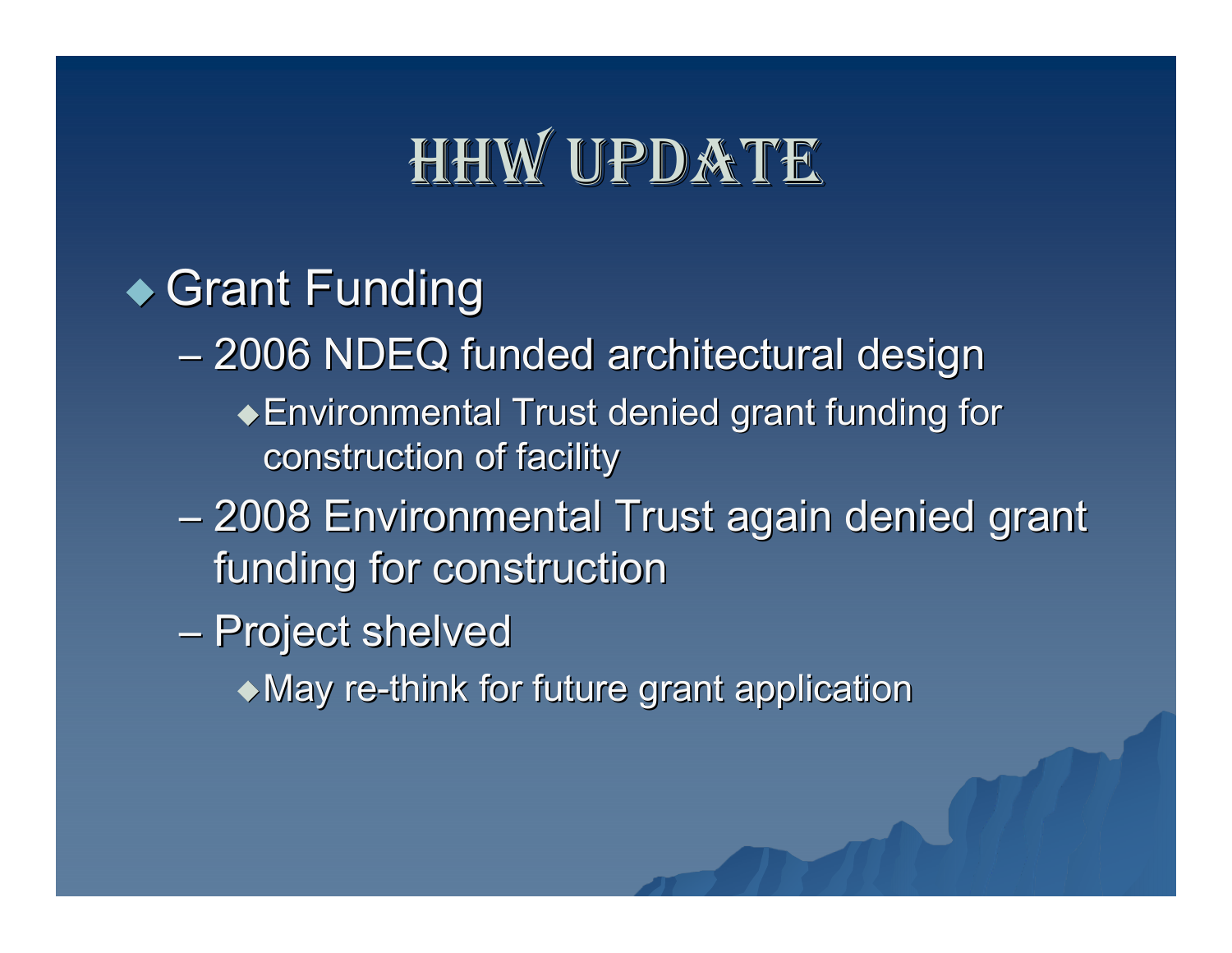# HHW UPDATE

### $\triangle$  Grant Funding

- –– 2006 NDEQ funded architectural design
	- Environmental Trust denied grant funding for Environmental Trust denied grant funding for construction of facility
- e a serie de la provincia de la provincia de – 2008 Environmental Trust again denied grant funding for construction
- –– Project shelved

 $\bullet$  May re-think for future grant application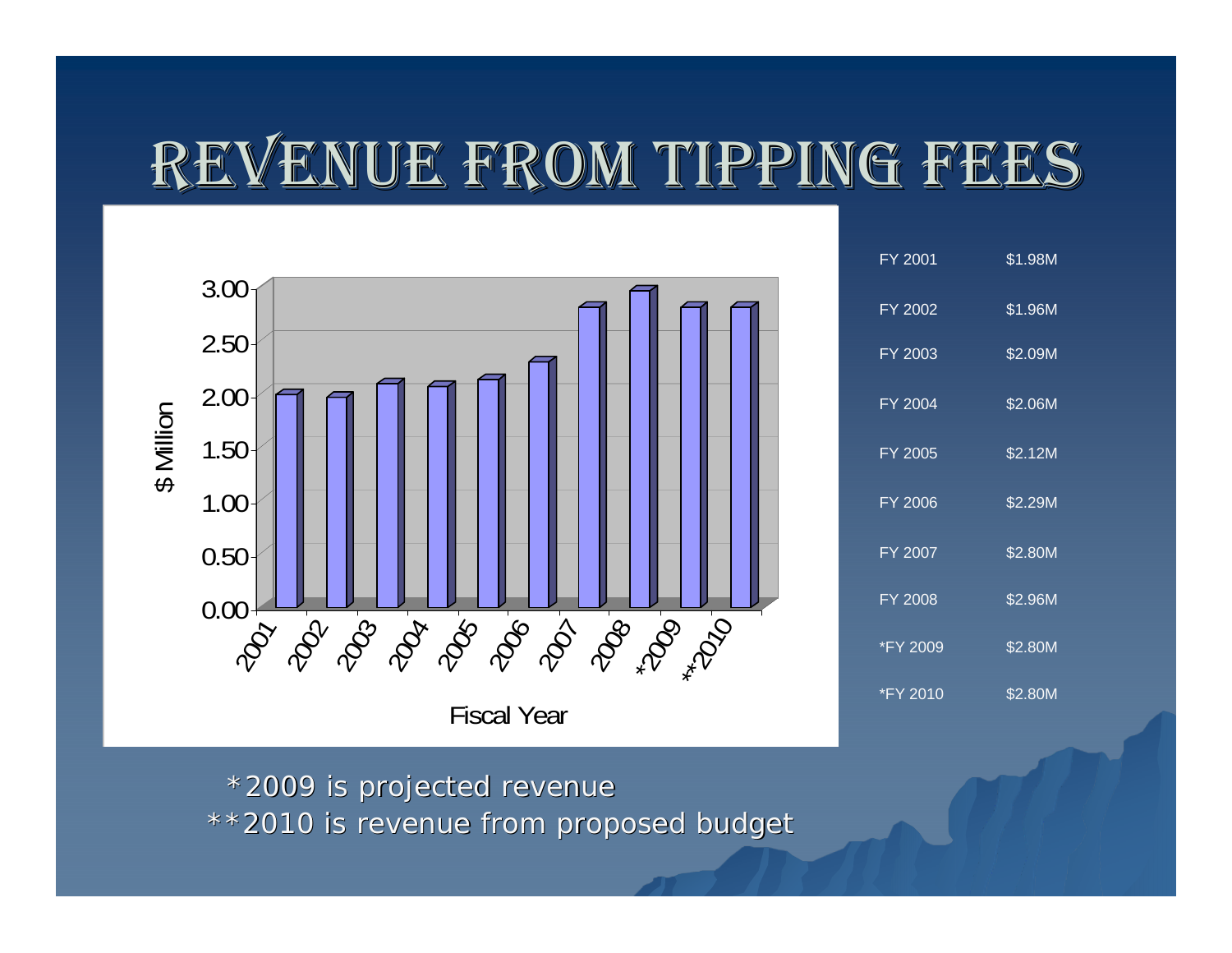# REVENUE FROM TIPPING FEES



\*2009 is projected revenue \*2009 is projected revenue \*\*2010 is revenue from proposed budget \*\*2010 is revenue from proposed budget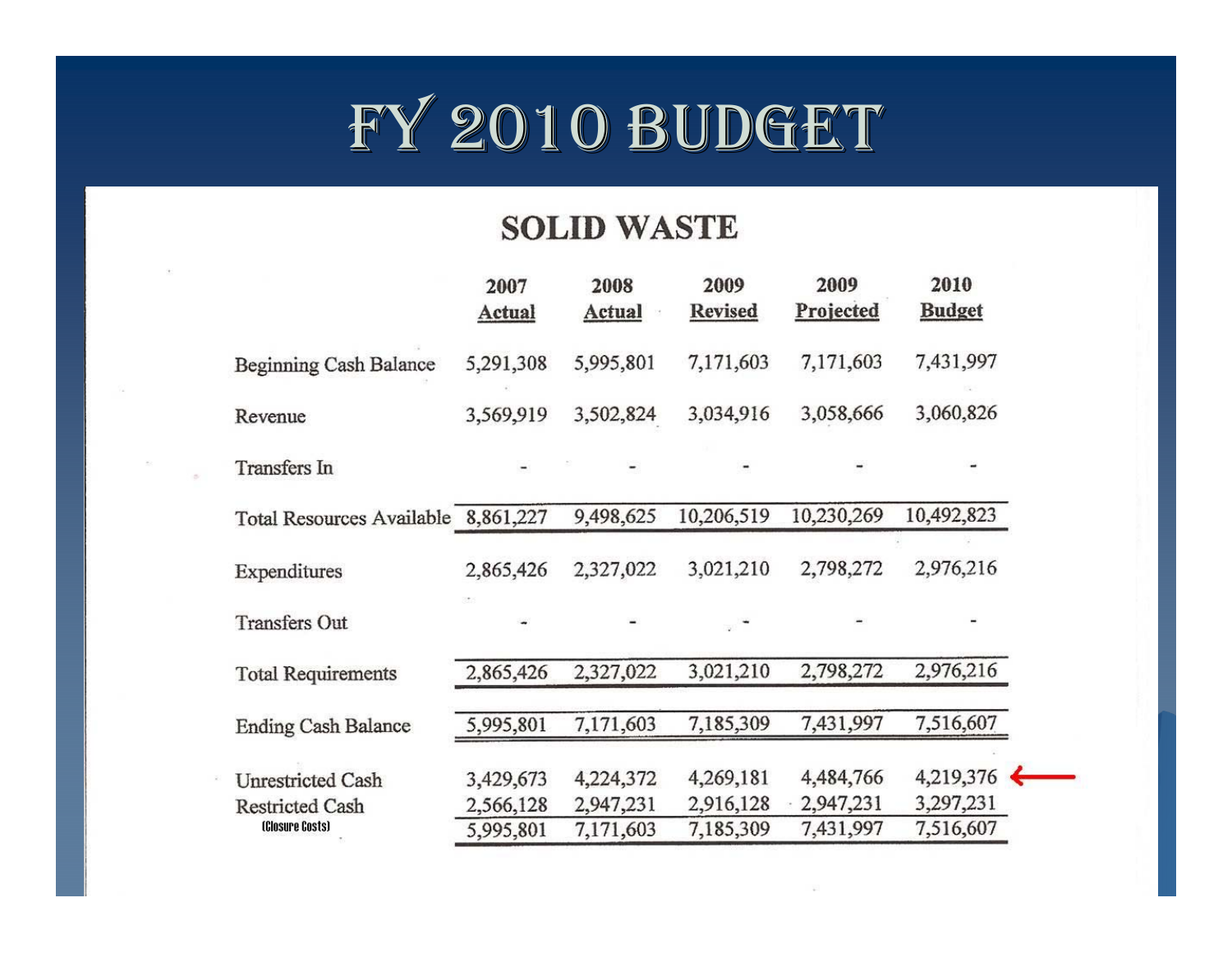

#### **SOLID WASTE**

| 2007<br>Actual                      | 2008<br><b>Actual</b>  | 2009<br><b>Revised</b> | 2009<br>Projected      | 2010<br><b>Budget</b>    |                        |
|-------------------------------------|------------------------|------------------------|------------------------|--------------------------|------------------------|
| 5,291,308                           | 5,995,801              | 7,171,603              | 7,171,603              | 7,431,997                |                        |
| 3,569,919                           | 3,502,824              | 3,034,916              | 3,058,666              | 3,060,826                |                        |
|                                     |                        |                        |                        |                          |                        |
| Total Resources Available 8,861,227 | 9,498,625              | 10,206,519             | 10,230,269             | 10,492,823               |                        |
| 2,865,426                           | 2,327,022              | 3,021,210              | 2,798,272              | 2,976,216                |                        |
|                                     |                        |                        |                        |                          |                        |
| 2,865,426                           | 2,327,022              | 3,021,210              | 2,798,272              | 2,976,216                |                        |
| 5,995,801                           | 7,171,603              | 7,185,309              | 7,431,997              | 7,516,607                |                        |
| 3,429,673                           | 4,224,372              | 4,269,181              | 4,484,766              | $4,219,376$ $\leftarrow$ |                        |
|                                     |                        |                        | 7,431,997              |                          |                        |
|                                     | 2,566,128<br>5,995,801 | 2,947,231<br>7,171,603 | 2,916,128<br>7,185,309 | 2,947,231                | 3,297,231<br>7,516,607 |

 $\sim$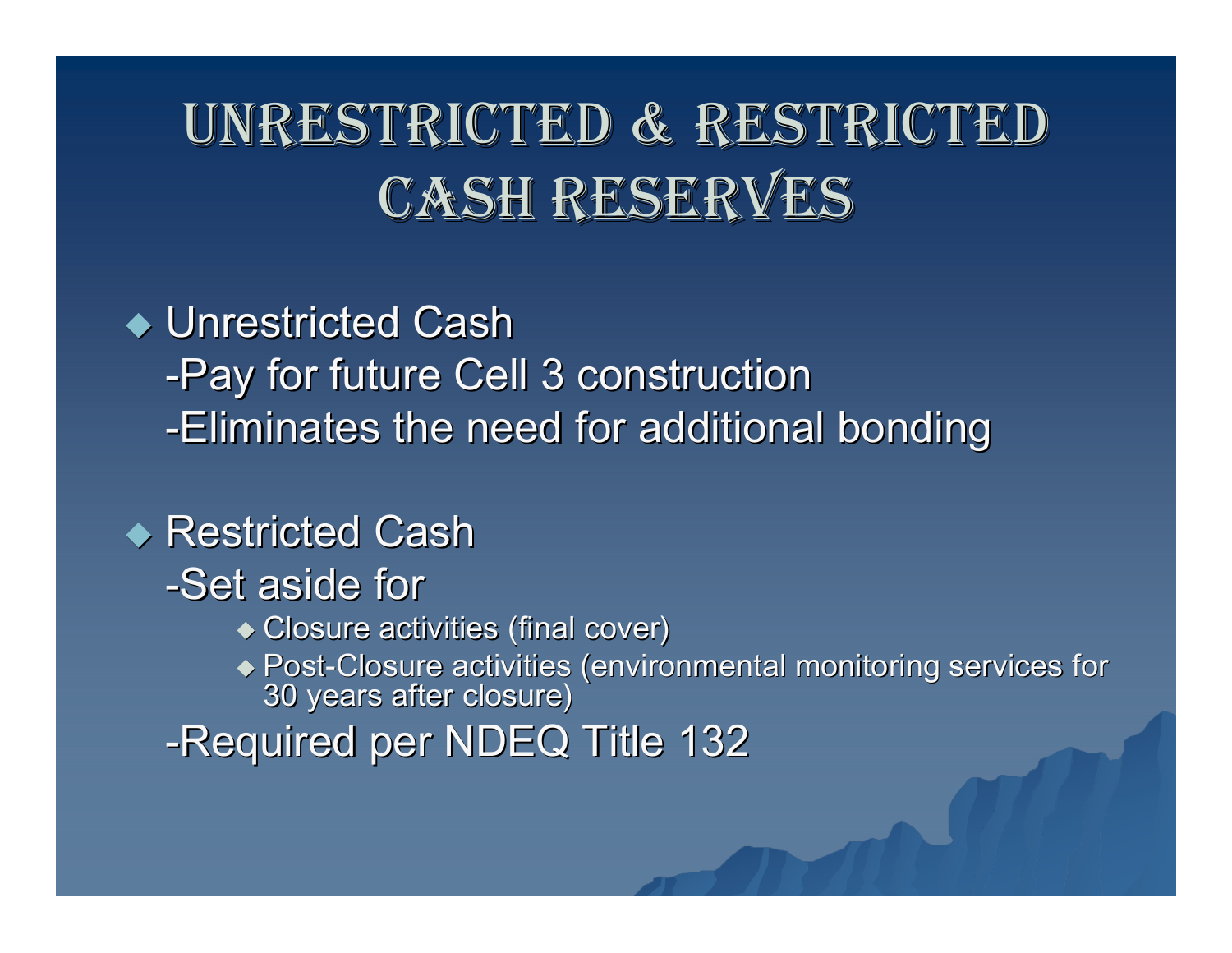# UNRESTRICTED & RESTRICTED CASH RESERVES

#### ◆ Unrestricted Cash -Pay for future Cell 3 construction -Eliminates the need for additional bonding

### ◆ Restricted Cash

- -Set aside for
	- $\bullet$  Closure activities (final cover)
	- Post -Closure activities (environmental monitoring services for Closure activities (environmental monitoring services for 30 years after closure) 30 years after closure)
- -Required per NDEQ Title 132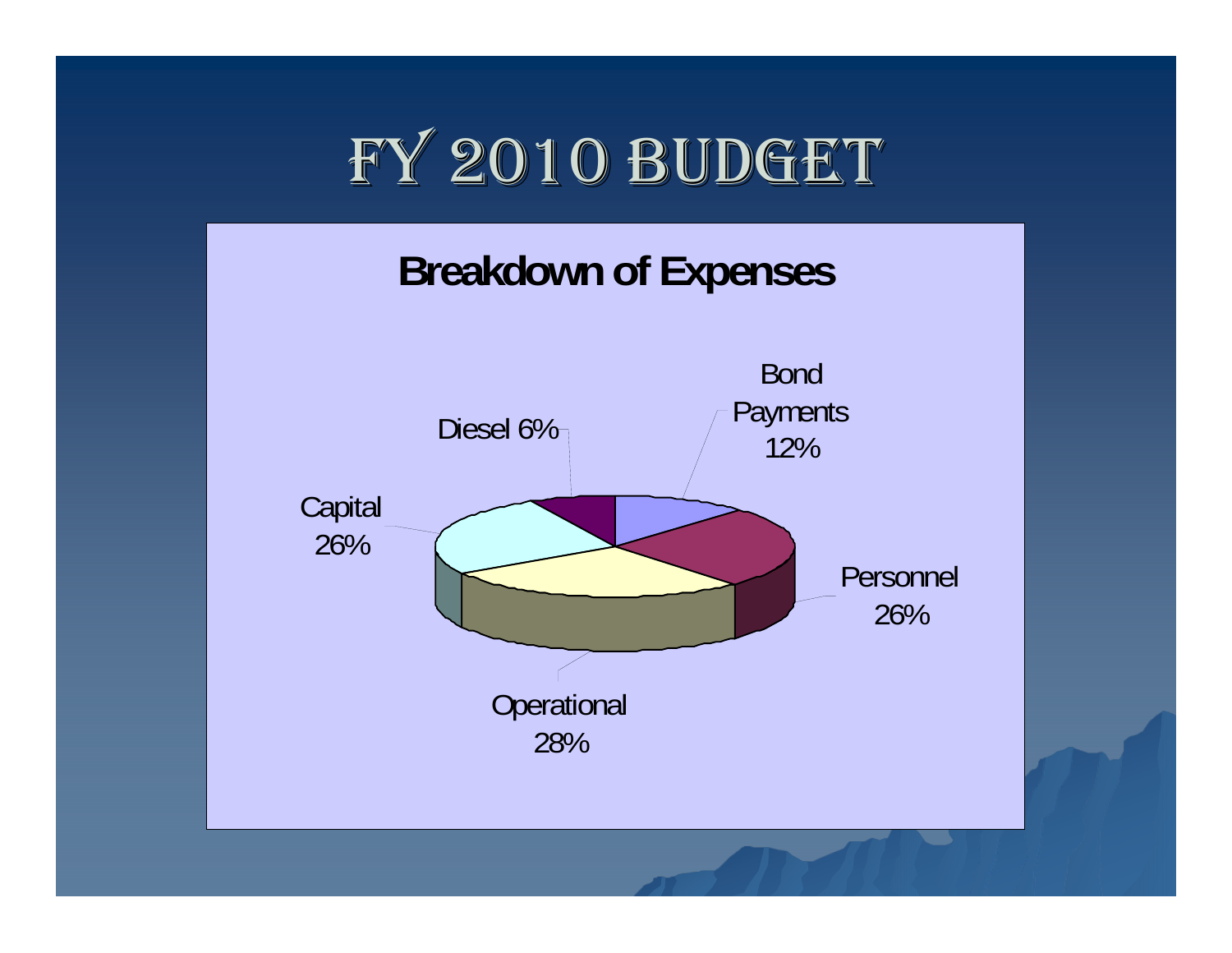

#### **Breakdown of Expenses**

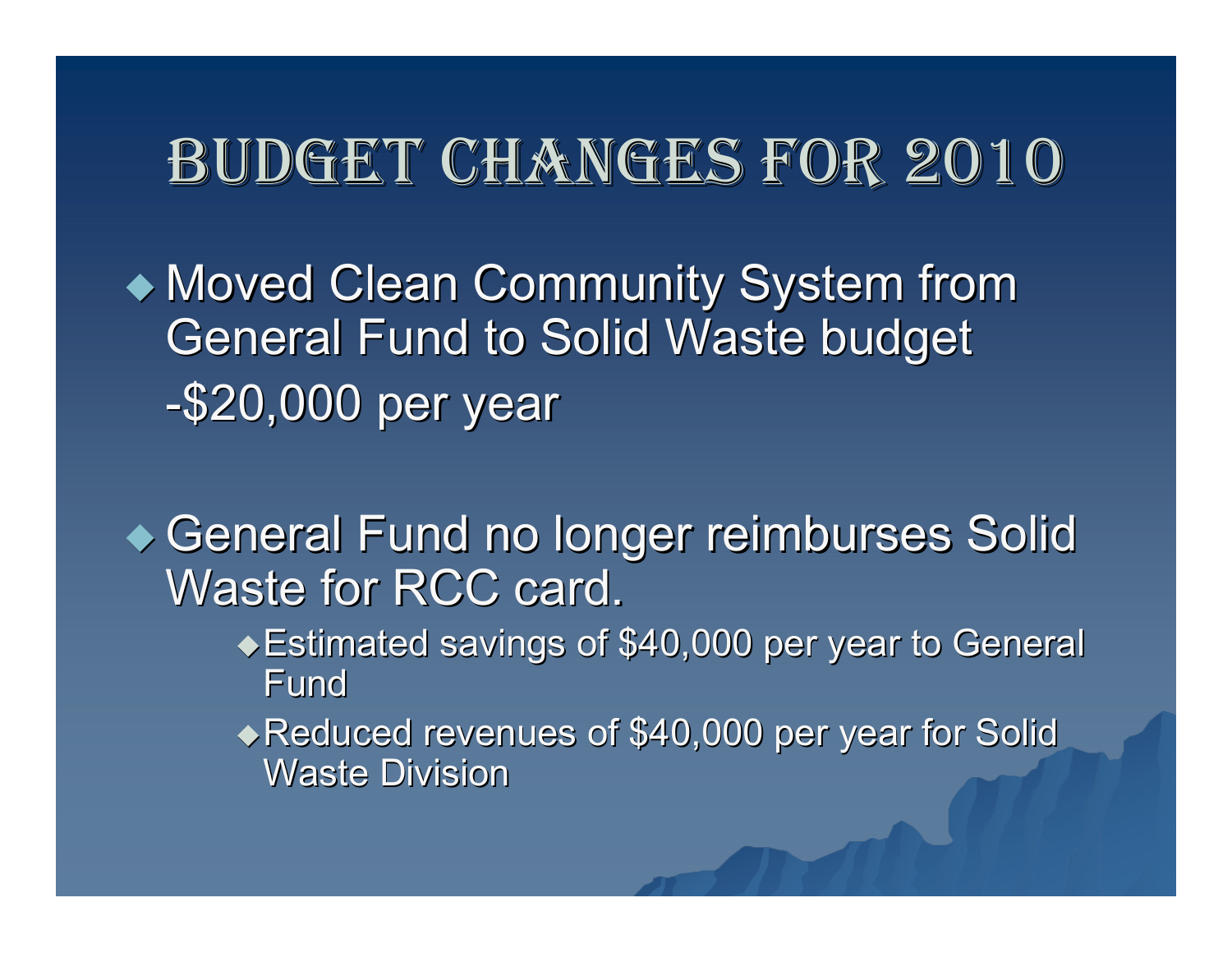### BUDGET CHANGES FOR 2010

• Moved Clean Community System from **General Fund to Solid Waste budget** -\$20,000 per year

General Fund no longer reimburses Solid Waste for RCC card.

- ◆ Estimated savings of \$40,000 per year to General Fund
- Reduced revenues of \$40,000 per year for Solid Reduced revenues of \$40,000 per year for Solid Waste Division